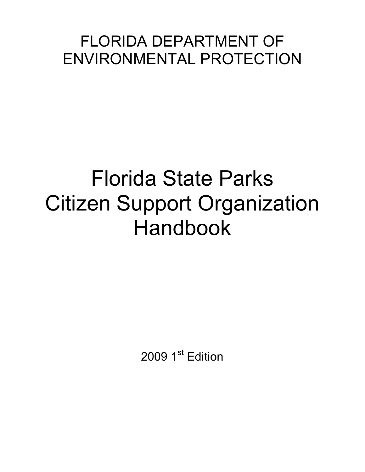## FLORIDA DEPARTMENT OF ENVIRONMENTAL PROTECTION

# Florida State Parks Citizen Support Organization Handbook

2009 1<sup>st</sup> Edition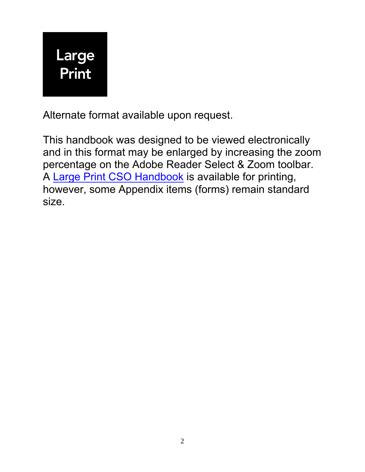

Alternate format available upon request.

This handbook was designed to be viewed electronically and in this format may be enlarged by increasing the zoom percentage on the Adobe Reader Select & Zoom toolbar. A [Large Print CSO Handbook](http://floridastateparks.org/cso/docs/2009CSOHandbook_LP.pdf) is available for printing, however, some Appendix items (forms) remain standard size.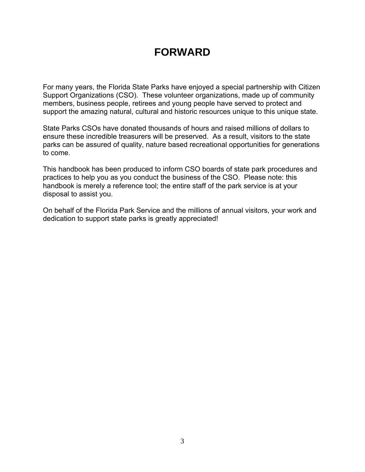### **FORWARD**

For many years, the Florida State Parks have enjoyed a special partnership with Citizen Support Organizations (CSO). These volunteer organizations, made up of community members, business people, retirees and young people have served to protect and support the amazing natural, cultural and historic resources unique to this unique state.

State Parks CSOs have donated thousands of hours and raised millions of dollars to ensure these incredible treasurers will be preserved. As a result, visitors to the state parks can be assured of quality, nature based recreational opportunities for generations to come.

This handbook has been produced to inform CSO boards of state park procedures and practices to help you as you conduct the business of the CSO. Please note: this handbook is merely a reference tool; the entire staff of the park service is at your disposal to assist you.

On behalf of the Florida Park Service and the millions of annual visitors, your work and dedication to support state parks is greatly appreciated!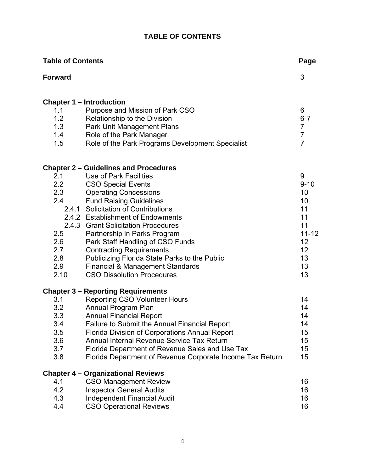#### **TABLE OF CONTENTS**

| <b>Table of Contents</b> |                                                                                              | Page           |
|--------------------------|----------------------------------------------------------------------------------------------|----------------|
| <b>Forward</b>           |                                                                                              | 3              |
|                          | <b>Chapter 1 – Introduction</b>                                                              |                |
| 1.1                      | Purpose and Mission of Park CSO                                                              | 6              |
| 1.2                      | Relationship to the Division                                                                 | $6 - 7$        |
| 1.3                      | Park Unit Management Plans                                                                   | $\overline{7}$ |
| 1.4                      | Role of the Park Manager                                                                     | $\overline{7}$ |
| 1.5                      | Role of the Park Programs Development Specialist                                             | $\overline{7}$ |
|                          | <b>Chapter 2 - Guidelines and Procedures</b>                                                 |                |
| 2.1                      | Use of Park Facilities                                                                       | 9              |
| 2.2                      | <b>CSO Special Events</b>                                                                    | $9 - 10$       |
| 2.3                      | <b>Operating Concessions</b>                                                                 | 10             |
| 2.4                      | <b>Fund Raising Guidelines</b>                                                               | 10             |
|                          | 2.4.1 Solicitation of Contributions                                                          | 11             |
|                          | 2.4.2 Establishment of Endowments                                                            | 11             |
|                          | 2.4.3 Grant Solicitation Procedures                                                          | 11             |
| 2.5                      | Partnership in Parks Program                                                                 | $11 - 12$      |
| 2.6                      | Park Staff Handling of CSO Funds                                                             | 12             |
| 2.7                      | <b>Contracting Requirements</b>                                                              | 12             |
| 2.8                      | Publicizing Florida State Parks to the Public                                                | 13             |
| 2.9                      | <b>Financial &amp; Management Standards</b>                                                  | 13             |
| 2.10                     | <b>CSO Dissolution Procedures</b>                                                            | 13             |
|                          | <b>Chapter 3 - Reporting Requirements</b>                                                    |                |
| 3.1                      | <b>Reporting CSO Volunteer Hours</b>                                                         | 14             |
| 3.2                      | Annual Program Plan                                                                          | 14             |
| 3.3                      | <b>Annual Financial Report</b>                                                               | 14             |
| 3.4                      | Failure to Submit the Annual Financial Report                                                | 14             |
| 3.5<br>3.6               | Florida Division of Corporations Annual Report<br>Annual Internal Revenue Service Tax Return | 15             |
| 3.7                      |                                                                                              | 15             |
|                          | Florida Department of Revenue Sales and Use Tax                                              | 15<br>15       |
| 3.8                      | Florida Department of Revenue Corporate Income Tax Return                                    |                |
|                          | <b>Chapter 4 - Organizational Reviews</b>                                                    |                |
| 4.1                      | <b>CSO Management Review</b>                                                                 | 16             |
| 4.2                      | <b>Inspector General Audits</b>                                                              | 16             |
| 4.3                      | <b>Independent Financial Audit</b>                                                           | 16             |
| 4.4                      | <b>CSO Operational Reviews</b>                                                               | 16             |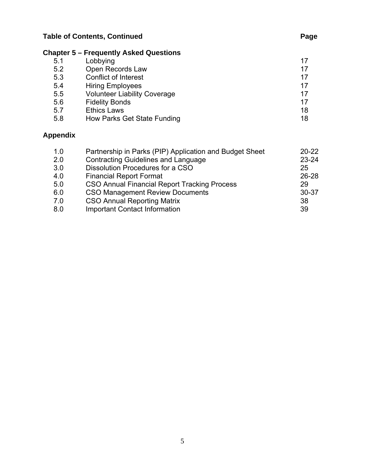#### **Chapter 5 – Frequently Asked Questions**

| 5.1 | Lobbying                            | 17 |
|-----|-------------------------------------|----|
| 5.2 | Open Records Law                    | 17 |
| 5.3 | <b>Conflict of Interest</b>         | 17 |
| 5.4 | <b>Hiring Employees</b>             | 17 |
| 5.5 | <b>Volunteer Liability Coverage</b> | 17 |
| 5.6 | <b>Fidelity Bonds</b>               | 17 |
| 5.7 | <b>Ethics Laws</b>                  | 18 |
| 5.8 | How Parks Get State Funding         | 18 |
|     |                                     |    |

#### **Appendix**

| 1.0 | Partnership in Parks (PIP) Application and Budget Sheet | $20 - 22$ |
|-----|---------------------------------------------------------|-----------|
| 2.0 | <b>Contracting Guidelines and Language</b>              | $23 - 24$ |
| 3.0 | Dissolution Procedures for a CSO                        | 25        |
| 4.0 | <b>Financial Report Format</b>                          | $26 - 28$ |
| 5.0 | CSO Annual Financial Report Tracking Process            | 29        |
| 6.0 | <b>CSO Management Review Documents</b>                  | $30 - 37$ |
| 7.0 | <b>CSO Annual Reporting Matrix</b>                      | 38        |
| 8.0 | <b>Important Contact Information</b>                    | 39        |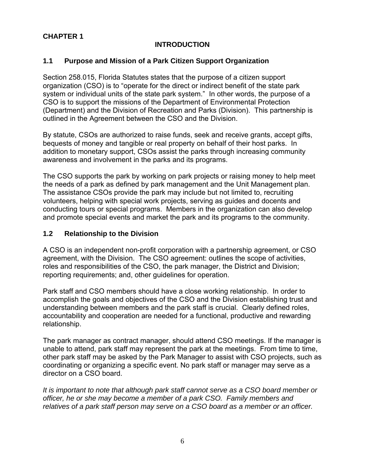#### **CHAPTER 1**

#### **INTRODUCTION**

#### **1.1 Purpose and Mission of a Park Citizen Support Organization**

Section 258.015, Florida Statutes states that the purpose of a citizen support organization (CSO) is to "operate for the direct or indirect benefit of the state park system or individual units of the state park system." In other words, the purpose of a CSO is to support the missions of the Department of Environmental Protection (Department) and the Division of Recreation and Parks (Division). This partnership is outlined in the Agreement between the CSO and the Division.

By statute, CSOs are authorized to raise funds, seek and receive grants, accept gifts, bequests of money and tangible or real property on behalf of their host parks. In addition to monetary support, CSOs assist the parks through increasing community awareness and involvement in the parks and its programs.

The CSO supports the park by working on park projects or raising money to help meet the needs of a park as defined by park management and the Unit Management plan. The assistance CSOs provide the park may include but not limited to, recruiting volunteers, helping with special work projects, serving as guides and docents and conducting tours or special programs. Members in the organization can also develop and promote special events and market the park and its programs to the community.

#### **1.2 Relationship to the Division**

A CSO is an independent non-profit corporation with a partnership agreement, or CSO agreement, with the Division. The CSO agreement: outlines the scope of activities, roles and responsibilities of the CSO, the park manager, the District and Division; reporting requirements; and, other guidelines for operation.

Park staff and CSO members should have a close working relationship. In order to accomplish the goals and objectives of the CSO and the Division establishing trust and understanding between members and the park staff is crucial. Clearly defined roles, accountability and cooperation are needed for a functional, productive and rewarding relationship.

The park manager as contract manager, should attend CSO meetings. If the manager is unable to attend, park staff may represent the park at the meetings. From time to time, other park staff may be asked by the Park Manager to assist with CSO projects, such as coordinating or organizing a specific event. No park staff or manager may serve as a director on a CSO board.

*It is important to note that although park staff cannot serve as a CSO board member or officer, he or she may become a member of a park CSO. Family members and relatives of a park staff person may serve on a CSO board as a member or an officer.*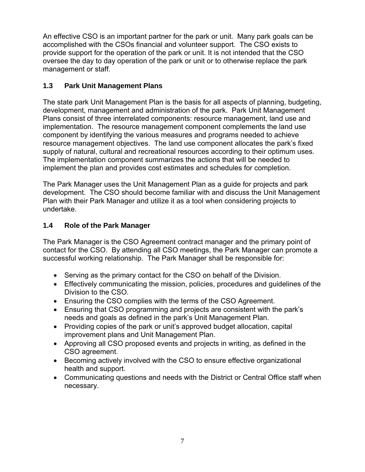An effective CSO is an important partner for the park or unit. Many park goals can be accomplished with the CSOs financial and volunteer support. The CSO exists to provide support for the operation of the park or unit. It is not intended that the CSO oversee the day to day operation of the park or unit or to otherwise replace the park management or staff.

#### **1.3 Park Unit Management Plans**

The state park Unit Management Plan is the basis for all aspects of planning, budgeting, development, management and administration of the park. Park Unit Management Plans consist of three interrelated components: resource management, land use and implementation. The resource management component complements the land use component by identifying the various measures and programs needed to achieve resource management objectives. The land use component allocates the park's fixed supply of natural, cultural and recreational resources according to their optimum uses. The implementation component summarizes the actions that will be needed to implement the plan and provides cost estimates and schedules for completion.

The Park Manager uses the Unit Management Plan as a guide for projects and park development. The CSO should become familiar with and discuss the Unit Management Plan with their Park Manager and utilize it as a tool when considering projects to undertake.

#### **1.4 Role of the Park Manager**

The Park Manager is the CSO Agreement contract manager and the primary point of contact for the CSO. By attending all CSO meetings, the Park Manager can promote a successful working relationship. The Park Manager shall be responsible for:

- Serving as the primary contact for the CSO on behalf of the Division.
- Effectively communicating the mission, policies, procedures and guidelines of the Division to the CSO.
- Ensuring the CSO complies with the terms of the CSO Agreement.
- Ensuring that CSO programming and projects are consistent with the park's needs and goals as defined in the park's Unit Management Plan.
- Providing copies of the park or unit's approved budget allocation, capital improvement plans and Unit Management Plan.
- Approving all CSO proposed events and projects in writing, as defined in the CSO agreement.
- Becoming actively involved with the CSO to ensure effective organizational health and support.
- Communicating questions and needs with the District or Central Office staff when necessary.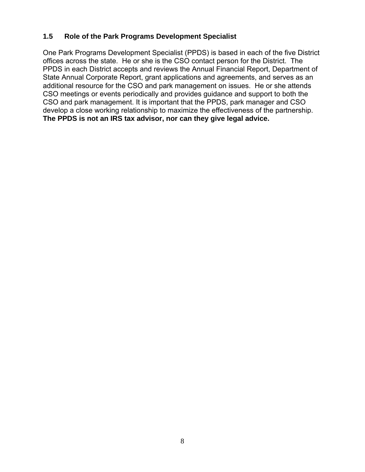#### **1.5 Role of the Park Programs Development Specialist**

One Park Programs Development Specialist (PPDS) is based in each of the five District offices across the state. He or she is the CSO contact person for the District. The PPDS in each District accepts and reviews the Annual Financial Report, Department of State Annual Corporate Report, grant applications and agreements, and serves as an additional resource for the CSO and park management on issues. He or she attends CSO meetings or events periodically and provides guidance and support to both the CSO and park management. It is important that the PPDS, park manager and CSO develop a close working relationship to maximize the effectiveness of the partnership. **The PPDS is not an IRS tax advisor, nor can they give legal advice.**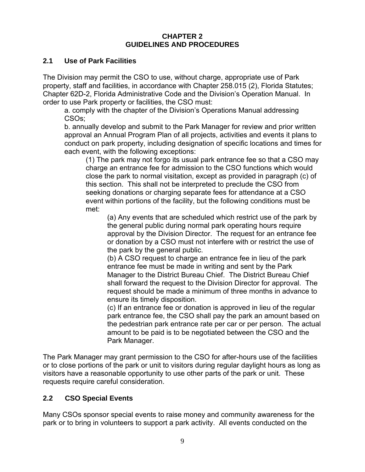#### **CHAPTER 2 GUIDELINES AND PROCEDURES**

#### **2.1 Use of Park Facilities**

The Division may permit the CSO to use, without charge, appropriate use of Park property, staff and facilities, in accordance with Chapter 258.015 (2), Florida Statutes; Chapter 62D-2, Florida Administrative Code and the Division's Operation Manual. In order to use Park property or facilities, the CSO must:

a. comply with the chapter of the Division's Operations Manual addressing CSOs;

b. annually develop and submit to the Park Manager for review and prior written approval an Annual Program Plan of all projects, activities and events it plans to conduct on park property, including designation of specific locations and times for each event, with the following exceptions:

(1) The park may not forgo its usual park entrance fee so that a CSO may charge an entrance fee for admission to the CSO functions which would close the park to normal visitation, except as provided in paragraph (c) of this section. This shall not be interpreted to preclude the CSO from seeking donations or charging separate fees for attendance at a CSO event within portions of the facility, but the following conditions must be met:

(a) Any events that are scheduled which restrict use of the park by the general public during normal park operating hours require approval by the Division Director. The request for an entrance fee or donation by a CSO must not interfere with or restrict the use of the park by the general public.

(b) A CSO request to charge an entrance fee in lieu of the park entrance fee must be made in writing and sent by the Park Manager to the District Bureau Chief. The District Bureau Chief shall forward the request to the Division Director for approval. The request should be made a minimum of three months in advance to ensure its timely disposition.

(c) If an entrance fee or donation is approved in lieu of the regular park entrance fee, the CSO shall pay the park an amount based on the pedestrian park entrance rate per car or per person. The actual amount to be paid is to be negotiated between the CSO and the Park Manager.

The Park Manager may grant permission to the CSO for after-hours use of the facilities or to close portions of the park or unit to visitors during regular daylight hours as long as visitors have a reasonable opportunity to use other parts of the park or unit. These requests require careful consideration.

#### **2.2 CSO Special Events**

Many CSOs sponsor special events to raise money and community awareness for the park or to bring in volunteers to support a park activity. All events conducted on the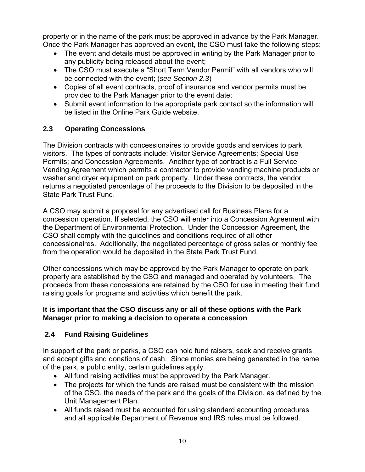property or in the name of the park must be approved in advance by the Park Manager. Once the Park Manager has approved an event, the CSO must take the following steps:

- The event and details must be approved in writing by the Park Manager prior to any publicity being released about the event;
- The CSO must execute a "Short Term Vendor Permit" with all vendors who will be connected with the event; (*see Section 2.3*)
- Copies of all event contracts, proof of insurance and vendor permits must be provided to the Park Manager prior to the event date;
- Submit event information to the appropriate park contact so the information will be listed in the Online Park Guide website.

#### **2.3 Operating Concessions**

The Division contracts with concessionaires to provide goods and services to park visitors. The types of contracts include: Visitor Service Agreements; Special Use Permits; and Concession Agreements. Another type of contract is a Full Service Vending Agreement which permits a contractor to provide vending machine products or washer and dryer equipment on park property. Under these contracts, the vendor returns a negotiated percentage of the proceeds to the Division to be deposited in the State Park Trust Fund.

A CSO may submit a proposal for any advertised call for Business Plans for a concession operation. If selected, the CSO will enter into a Concession Agreement with the Department of Environmental Protection. Under the Concession Agreement, the CSO shall comply with the guidelines and conditions required of all other concessionaires. Additionally, the negotiated percentage of gross sales or monthly fee from the operation would be deposited in the State Park Trust Fund.

Other concessions which may be approved by the Park Manager to operate on park property are established by the CSO and managed and operated by volunteers. The proceeds from these concessions are retained by the CSO for use in meeting their fund raising goals for programs and activities which benefit the park.

#### **It is important that the CSO discuss any or all of these options with the Park Manager prior to making a decision to operate a concession**

#### **2.4 Fund Raising Guidelines**

In support of the park or parks, a CSO can hold fund raisers, seek and receive grants and accept gifts and donations of cash. Since monies are being generated in the name of the park, a public entity, certain guidelines apply.

- All fund raising activities must be approved by the Park Manager.
- The projects for which the funds are raised must be consistent with the mission of the CSO, the needs of the park and the goals of the Division, as defined by the Unit Management Plan.
- All funds raised must be accounted for using standard accounting procedures and all applicable Department of Revenue and IRS rules must be followed.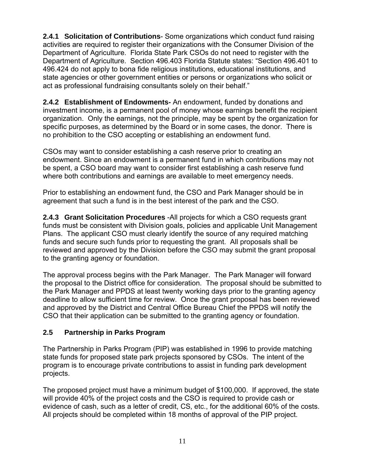**2.4.1 Solicitation of Contributions**- Some organizations which conduct fund raising activities are required to register their organizations with the Consumer Division of the Department of Agriculture. Florida State Park CSOs do not need to register with the Department of Agriculture. Section 496.403 Florida Statute states: "Section 496.401 to 496.424 do not apply to bona fide religious institutions, educational institutions, and state agencies or other government entities or persons or organizations who solicit or act as professional fundraising consultants solely on their behalf."

**2.4.2 Establishment of Endowments-** An endowment, funded by donations and investment income, is a permanent pool of money whose earnings benefit the recipient organization. Only the earnings, not the principle, may be spent by the organization for specific purposes, as determined by the Board or in some cases, the donor. There is no prohibition to the CSO accepting or establishing an endowment fund.

CSOs may want to consider establishing a cash reserve prior to creating an endowment. Since an endowment is a permanent fund in which contributions may not be spent, a CSO board may want to consider first establishing a cash reserve fund where both contributions and earnings are available to meet emergency needs.

Prior to establishing an endowment fund, the CSO and Park Manager should be in agreement that such a fund is in the best interest of the park and the CSO.

**2.4.3 Grant Solicitation Procedures** -All projects for which a CSO requests grant funds must be consistent with Division goals, policies and applicable Unit Management Plans. The applicant CSO must clearly identify the source of any required matching funds and secure such funds prior to requesting the grant. All proposals shall be reviewed and approved by the Division before the CSO may submit the grant proposal to the granting agency or foundation.

The approval process begins with the Park Manager. The Park Manager will forward the proposal to the District office for consideration. The proposal should be submitted to the Park Manager and PPDS at least twenty working days prior to the granting agency deadline to allow sufficient time for review. Once the grant proposal has been reviewed and approved by the District and Central Office Bureau Chief the PPDS will notify the CSO that their application can be submitted to the granting agency or foundation.

#### **2.5 Partnership in Parks Program**

The Partnership in Parks Program (PIP) was established in 1996 to provide matching state funds for proposed state park projects sponsored by CSOs. The intent of the program is to encourage private contributions to assist in funding park development projects.

The proposed project must have a minimum budget of \$100,000. If approved, the state will provide 40% of the project costs and the CSO is required to provide cash or evidence of cash, such as a letter of credit, CS, etc., for the additional 60% of the costs. All projects should be completed within 18 months of approval of the PIP project.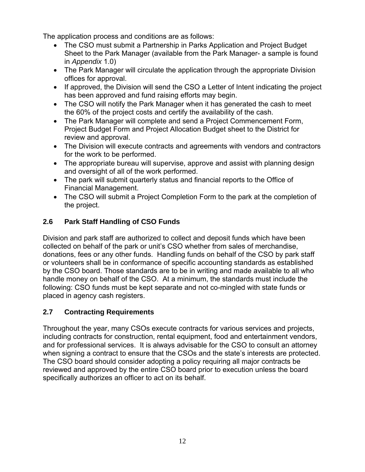The application process and conditions are as follows:

- The CSO must submit a Partnership in Parks Application and Project Budget Sheet to the Park Manager (available from the Park Manager- a sample is found in *Appendix* 1.0)
- The Park Manager will circulate the application through the appropriate Division offices for approval.
- If approved, the Division will send the CSO a Letter of Intent indicating the project has been approved and fund raising efforts may begin.
- The CSO will notify the Park Manager when it has generated the cash to meet the 60% of the project costs and certify the availability of the cash.
- The Park Manager will complete and send a Project Commencement Form, Project Budget Form and Project Allocation Budget sheet to the District for review and approval.
- The Division will execute contracts and agreements with vendors and contractors for the work to be performed.
- The appropriate bureau will supervise, approve and assist with planning design and oversight of all of the work performed.
- The park will submit quarterly status and financial reports to the Office of Financial Management.
- The CSO will submit a Project Completion Form to the park at the completion of the project.

#### **2.6 Park Staff Handling of CSO Funds**

Division and park staff are authorized to collect and deposit funds which have been collected on behalf of the park or unit's CSO whether from sales of merchandise, donations, fees or any other funds. Handling funds on behalf of the CSO by park staff or volunteers shall be in conformance of specific accounting standards as established by the CSO board. Those standards are to be in writing and made available to all who handle money on behalf of the CSO. At a minimum, the standards must include the following: CSO funds must be kept separate and not co-mingled with state funds or placed in agency cash registers.

#### **2.7 Contracting Requirements**

Throughout the year, many CSOs execute contracts for various services and projects, including contracts for construction, rental equipment, food and entertainment vendors, and for professional services. It is always advisable for the CSO to consult an attorney when signing a contract to ensure that the CSOs and the state's interests are protected. The CSO board should consider adopting a policy requiring all major contracts be reviewed and approved by the entire CSO board prior to execution unless the board specifically authorizes an officer to act on its behalf.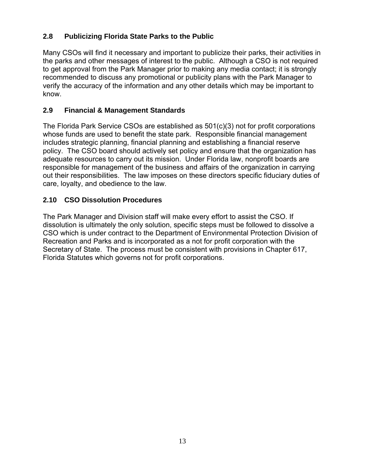#### **2.8 Publicizing Florida State Parks to the Public**

Many CSOs will find it necessary and important to publicize their parks, their activities in the parks and other messages of interest to the public. Although a CSO is not required to get approval from the Park Manager prior to making any media contact; it is strongly recommended to discuss any promotional or publicity plans with the Park Manager to verify the accuracy of the information and any other details which may be important to know.

#### **2.9 Financial & Management Standards**

The Florida Park Service CSOs are established as 501(c)(3) not for profit corporations whose funds are used to benefit the state park. Responsible financial management includes strategic planning, financial planning and establishing a financial reserve policy. The CSO board should actively set policy and ensure that the organization has adequate resources to carry out its mission. Under Florida law, nonprofit boards are responsible for management of the business and affairs of the organization in carrying out their responsibilities. The law imposes on these directors specific fiduciary duties of care, loyalty, and obedience to the law.

#### **2.10 CSO Dissolution Procedures**

The Park Manager and Division staff will make every effort to assist the CSO. If dissolution is ultimately the only solution, specific steps must be followed to dissolve a CSO which is under contract to the Department of Environmental Protection Division of Recreation and Parks and is incorporated as a not for profit corporation with the Secretary of State. The process must be consistent with provisions in Chapter 617, Florida Statutes which governs not for profit corporations.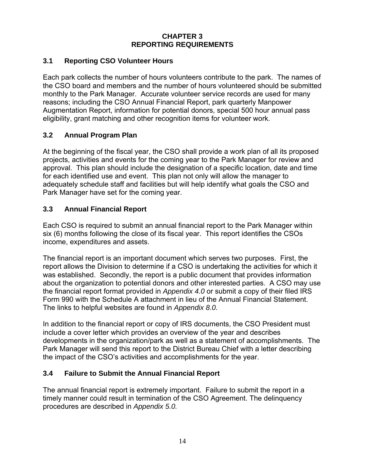#### **CHAPTER 3 REPORTING REQUIREMENTS**

#### **3.1 Reporting CSO Volunteer Hours**

Each park collects the number of hours volunteers contribute to the park. The names of the CSO board and members and the number of hours volunteered should be submitted monthly to the Park Manager. Accurate volunteer service records are used for many reasons; including the CSO Annual Financial Report, park quarterly Manpower Augmentation Report, information for potential donors, special 500 hour annual pass eligibility, grant matching and other recognition items for volunteer work.

#### **3.2 Annual Program Plan**

At the beginning of the fiscal year, the CSO shall provide a work plan of all its proposed projects, activities and events for the coming year to the Park Manager for review and approval. This plan should include the designation of a specific location, date and time for each identified use and event. This plan not only will allow the manager to adequately schedule staff and facilities but will help identify what goals the CSO and Park Manager have set for the coming year.

#### **3.3 Annual Financial Report**

Each CSO is required to submit an annual financial report to the Park Manager within six (6) months following the close of its fiscal year. This report identifies the CSOs income, expenditures and assets.

The financial report is an important document which serves two purposes. First, the report allows the Division to determine if a CSO is undertaking the activities for which it was established. Secondly, the report is a public document that provides information about the organization to potential donors and other interested parties. A CSO may use the financial report format provided in *Appendix 4.0* or submit a copy of their filed IRS Form 990 with the Schedule A attachment in lieu of the Annual Financial Statement. The links to helpful websites are found in *Appendix 8.0.*

In addition to the financial report or copy of IRS documents, the CSO President must include a cover letter which provides an overview of the year and describes developments in the organization/park as well as a statement of accomplishments. The Park Manager will send this report to the District Bureau Chief with a letter describing the impact of the CSO's activities and accomplishments for the year.

#### **3.4 Failure to Submit the Annual Financial Report**

The annual financial report is extremely important. Failure to submit the report in a timely manner could result in termination of the CSO Agreement. The delinquency procedures are described in *Appendix 5.0.*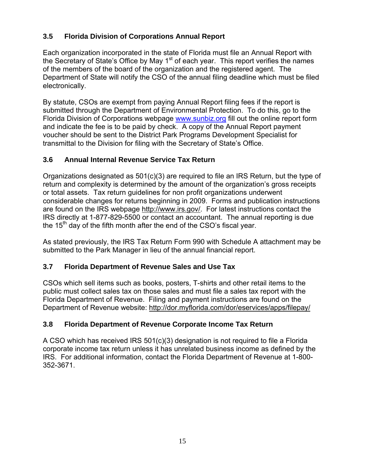#### **3.5 Florida Division of Corporations Annual Report**

Each organization incorporated in the state of Florida must file an Annual Report with the Secretary of State's Office by May  $1<sup>st</sup>$  of each year. This report verifies the names of the members of the board of the organization and the registered agent. The Department of State will notify the CSO of the annual filing deadline which must be filed electronically.

By statute, CSOs are exempt from paying Annual Report filing fees if the report is submitted through the Department of Environmental Protection. To do this, go to the Florida Division of Corporations webpage [www.sunbiz.org](http://www.sunbiz.org/) fill out the online report form and indicate the fee is to be paid by check. A copy of the Annual Report payment voucher should be sent to the District Park Programs Development Specialist for transmittal to the Division for filing with the Secretary of State's Office.

#### **3.6 Annual Internal Revenue Service Tax Return**

Organizations designated as 501(c)(3) are required to file an IRS Return, but the type of return and complexity is determined by the amount of the organization's gross receipts or total assets. Tax return guidelines for non profit organizations underwent considerable changes for returns beginning in 2009. Forms and publication instructions are found on the IRS webpage <http://www.irs.gov/>. For latest instructions contact the IRS directly at 1-877-829-5500 or contact an accountant. The annual reporting is due the  $15<sup>th</sup>$  day of the fifth month after the end of the CSO's fiscal year.

As stated previously, the IRS Tax Return Form 990 with Schedule A attachment may be submitted to the Park Manager in lieu of the annual financial report.

#### **3.7 Florida Department of Revenue Sales and Use Tax**

CSOs which sell items such as books, posters, T-shirts and other retail items to the public must collect sales tax on those sales and must file a sales tax report with the Florida Department of Revenue. Filing and payment instructions are found on the Department of Revenue website:<http://dor.myflorida.com/dor/eservices/apps/filepay/>

#### **3.8 Florida Department of Revenue Corporate Income Tax Return**

A CSO which has received IRS 501(c)(3) designation is not required to file a Florida corporate income tax return unless it has unrelated business income as defined by the IRS. For additional information, contact the Florida Department of Revenue at 1-800- 352-3671.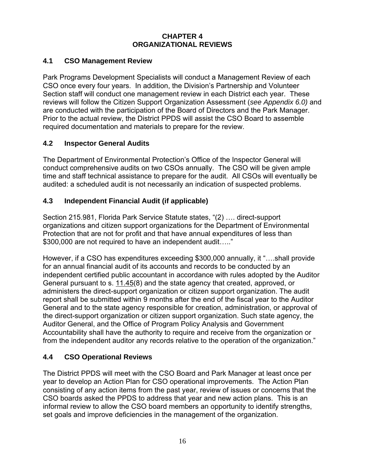#### **CHAPTER 4 ORGANIZATIONAL REVIEWS**

#### **4.1 CSO Management Review**

Park Programs Development Specialists will conduct a Management Review of each CSO once every four years. In addition, the Division's Partnership and Volunteer Section staff will conduct one management review in each District each year. These reviews will follow the Citizen Support Organization Assessment (*see Appendix 6.0)* and are conducted with the participation of the Board of Directors and the Park Manager. Prior to the actual review, the District PPDS will assist the CSO Board to assemble required documentation and materials to prepare for the review.

#### **4.2 Inspector General Audits**

The Department of Environmental Protection's Office of the Inspector General will conduct comprehensive audits on two CSOs annually. The CSO will be given ample time and staff technical assistance to prepare for the audit. All CSOs will eventually be audited: a scheduled audit is not necessarily an indication of suspected problems.

#### **4.3 Independent Financial Audit (if applicable)**

Section 215.981, Florida Park Service Statute states, "(2) …. direct-support organizations and citizen support organizations for the Department of Environmental Protection that are not for profit and that have annual expenditures of less than \$300,000 are not required to have an independent audit….."

However, if a CSO has expenditures exceeding \$300,000 annually, it "….shall provide for an annual financial audit of its accounts and records to be conducted by an independent certified public accountant in accordance with rules adopted by the Auditor General pursuant to s. [11.45](http://www.leg.state.fl.us/Statutes/index.cfm?App_mode=Display_Statute&Search_String=&URL=Ch0011/Sec45.HTM)(8) and the state agency that created, approved, or administers the direct-support organization or citizen support organization. The audit report shall be submitted within 9 months after the end of the fiscal year to the Auditor General and to the state agency responsible for creation, administration, or approval of the direct-support organization or citizen support organization. Such state agency, the Auditor General, and the Office of Program Policy Analysis and Government Accountability shall have the authority to require and receive from the organization or from the independent auditor any records relative to the operation of the organization."

#### **4.4 CSO Operational Reviews**

The District PPDS will meet with the CSO Board and Park Manager at least once per year to develop an Action Plan for CSO operational improvements. The Action Plan consisting of any action items from the past year, review of issues or concerns that the CSO boards asked the PPDS to address that year and new action plans. This is an informal review to allow the CSO board members an opportunity to identify strengths, set goals and improve deficiencies in the management of the organization.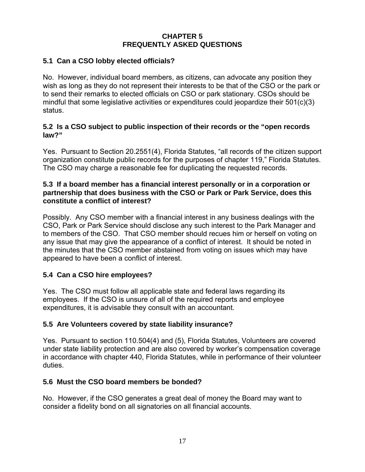#### **CHAPTER 5 FREQUENTLY ASKED QUESTIONS**

#### **5.1 Can a CSO lobby elected officials?**

No. However, individual board members, as citizens, can advocate any position they wish as long as they do not represent their interests to be that of the CSO or the park or to send their remarks to elected officials on CSO or park stationary. CSOs should be mindful that some legislative activities or expenditures could jeopardize their 501(c)(3) status.

#### **5.2 Is a CSO subject to public inspection of their records or the "open records law?"**

Yes. Pursuant to Section 20.2551(4), Florida Statutes, "all records of the citizen support organization constitute public records for the purposes of chapter 119," Florida Statutes. The CSO may charge a reasonable fee for duplicating the requested records.

#### **5.3 If a board member has a financial interest personally or in a corporation or partnership that does business with the CSO or Park or Park Service, does this constitute a conflict of interest?**

Possibly. Any CSO member with a financial interest in any business dealings with the CSO, Park or Park Service should disclose any such interest to the Park Manager and to members of the CSO. That CSO member should recues him or herself on voting on any issue that may give the appearance of a conflict of interest. It should be noted in the minutes that the CSO member abstained from voting on issues which may have appeared to have been a conflict of interest.

#### **5.4 Can a CSO hire employees?**

Yes. The CSO must follow all applicable state and federal laws regarding its employees. If the CSO is unsure of all of the required reports and employee expenditures, it is advisable they consult with an accountant.

#### **5.5 Are Volunteers covered by state liability insurance?**

Yes. Pursuant to section 110.504(4) and (5), Florida Statutes, Volunteers are covered under state liability protection and are also covered by worker's compensation coverage in accordance with chapter 440, Florida Statutes, while in performance of their volunteer duties.

#### **5.6 Must the CSO board members be bonded?**

No. However, if the CSO generates a great deal of money the Board may want to consider a fidelity bond on all signatories on all financial accounts.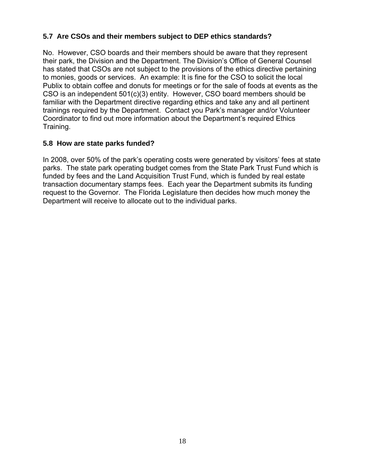#### **5.7 Are CSOs and their members subject to DEP ethics standards?**

No. However, CSO boards and their members should be aware that they represent their park, the Division and the Department. The Division's Office of General Counsel has stated that CSOs are not subject to the provisions of the ethics directive pertaining to monies, goods or services. An example: It is fine for the CSO to solicit the local Publix to obtain coffee and donuts for meetings or for the sale of foods at events as the CSO is an independent 501(c)(3) entity. However, CSO board members should be familiar with the Department directive regarding ethics and take any and all pertinent trainings required by the Department. Contact you Park's manager and/or Volunteer Coordinator to find out more information about the Department's required Ethics Training.

#### **5.8 How are state parks funded?**

In 2008, over 50% of the park's operating costs were generated by visitors' fees at state parks. The state park operating budget comes from the State Park Trust Fund which is funded by fees and the Land Acquisition Trust Fund, which is funded by real estate transaction documentary stamps fees. Each year the Department submits its funding request to the Governor. The Florida Legislature then decides how much money the Department will receive to allocate out to the individual parks.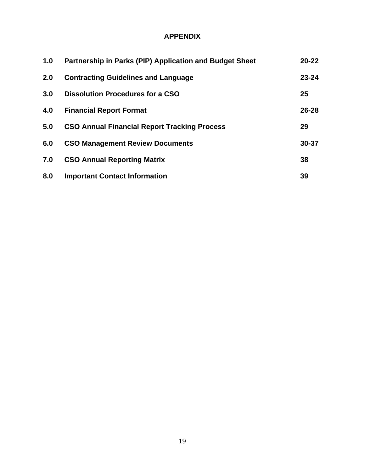#### **APPENDIX**

| 1.0 | Partnership in Parks (PIP) Application and Budget Sheet | $20 - 22$ |
|-----|---------------------------------------------------------|-----------|
| 2.0 | <b>Contracting Guidelines and Language</b>              | $23 - 24$ |
| 3.0 | <b>Dissolution Procedures for a CSO</b>                 | 25        |
| 4.0 | <b>Financial Report Format</b>                          | $26 - 28$ |
| 5.0 | <b>CSO Annual Financial Report Tracking Process</b>     | 29        |
| 6.0 | <b>CSO Management Review Documents</b>                  | 30-37     |
| 7.0 | <b>CSO Annual Reporting Matrix</b>                      | 38        |
| 8.0 | <b>Important Contact Information</b>                    | 39        |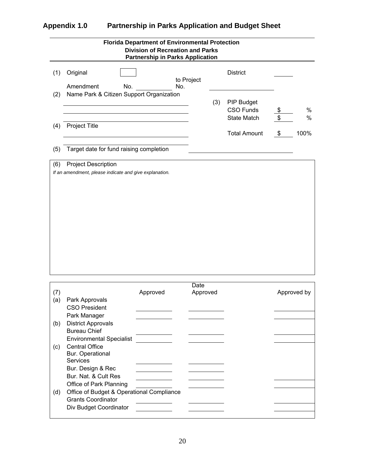#### **Appendix 1.0 Partnership in Parks Application and Budget Sheet**

| <b>Florida Department of Environmental Protection</b><br><b>Division of Recreation and Parks</b><br><b>Partnership in Parks Application</b> |                                                                                                                                                                         |          |                  |     |                                                      |          |             |  |
|---------------------------------------------------------------------------------------------------------------------------------------------|-------------------------------------------------------------------------------------------------------------------------------------------------------------------------|----------|------------------|-----|------------------------------------------------------|----------|-------------|--|
| (1)                                                                                                                                         | Original<br>Amendment<br>No.                                                                                                                                            | No.      | to Project       |     | <b>District</b>                                      |          |             |  |
| (2)                                                                                                                                         | Name Park & Citizen Support Organization                                                                                                                                |          |                  | (3) | PIP Budget<br><b>CSO Funds</b><br><b>State Match</b> | \$<br>\$ | %<br>%      |  |
| (4)                                                                                                                                         | Project Title                                                                                                                                                           |          |                  |     | <b>Total Amount</b>                                  | \$       | 100%        |  |
| (5)                                                                                                                                         | Target date for fund raising completion                                                                                                                                 |          |                  |     |                                                      |          |             |  |
|                                                                                                                                             |                                                                                                                                                                         |          |                  |     |                                                      |          |             |  |
| (7)<br>(a)                                                                                                                                  | Park Approvals<br><b>CSO President</b>                                                                                                                                  | Approved | Date<br>Approved |     |                                                      |          | Approved by |  |
| (b)                                                                                                                                         | Park Manager<br><b>District Approvals</b><br><b>Bureau Chief</b>                                                                                                        |          |                  |     |                                                      |          |             |  |
| (c)                                                                                                                                         | <b>Environmental Specialist</b><br><b>Central Office</b><br>Bur. Operational<br><b>Services</b><br>Bur. Design & Rec<br>Bur. Nat. & Cult Res<br>Office of Park Planning |          |                  |     |                                                      |          |             |  |
| (d)                                                                                                                                         | Office of Budget & Operational Compliance<br><b>Grants Coordinator</b><br>Div Budget Coordinator                                                                        |          |                  |     |                                                      |          |             |  |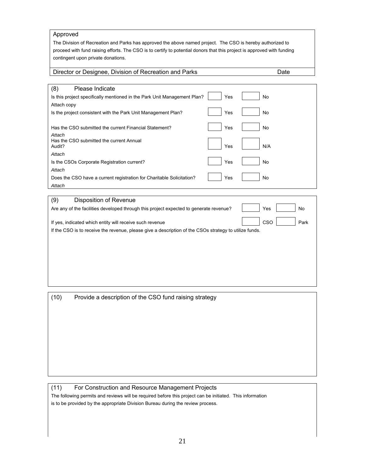#### Approved

The Division of Recreation and Parks has approved the above named project. The CSO is hereby authorized to proceed with fund raising efforts. The CSO is to certify to potential donors that this project is approved with funding contingent upon private donations.

#### Director or Designee, Division of Recreation and Parks Date Date

| (8)<br>Please Indicate                                                   |     |     |  |
|--------------------------------------------------------------------------|-----|-----|--|
| Is this project specifically mentioned in the Park Unit Management Plan? | Yes | No  |  |
| Attach copy                                                              |     |     |  |
| Is the project consistent with the Park Unit Management Plan?            | Yes | No  |  |
|                                                                          |     |     |  |
| Has the CSO submitted the current Financial Statement?                   | Yes | No  |  |
| Attach                                                                   |     |     |  |
| Has the CSO submitted the current Annual<br>Audit?                       | Yes | N/A |  |
| Attach                                                                   |     |     |  |
| Is the CSOs Corporate Registration current?                              | Yes | No  |  |
| Attach                                                                   |     |     |  |
| Does the CSO have a current registration for Charitable Solicitation?    | Yes | No  |  |
| Attach                                                                   |     |     |  |
|                                                                          |     |     |  |

#### (9) Disposition of Revenue

| Are any of the facilities developed through this project expected to generate revenue?                 | Yes        | No   |
|--------------------------------------------------------------------------------------------------------|------------|------|
| If yes, indicated which entity will receive such revenue                                               | <b>CSO</b> | Park |
| If the CSO is to receive the revenue, please give a description of the CSOs strategy to utilize funds. |            |      |
|                                                                                                        |            |      |

(10) Provide a description of the CSO fund raising strategy

#### (11) For Construction and Resource Management Projects

The following permits and reviews will be required before this project can be initiated. This information is to be provided by the appropriate Division Bureau during the review process.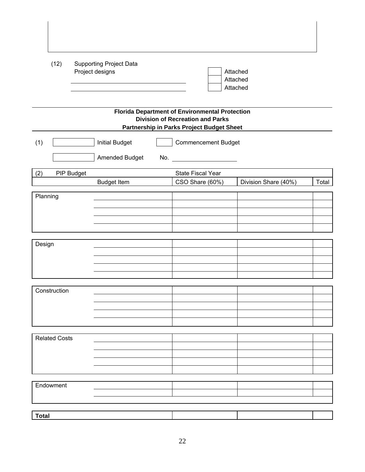|              | (12)                 |                                                                       | <b>Supporting Project Data</b><br>Project designs |  |                                                                                                                                               | Attached<br>Attached<br>Attached |       |  |
|--------------|----------------------|-----------------------------------------------------------------------|---------------------------------------------------|--|-----------------------------------------------------------------------------------------------------------------------------------------------|----------------------------------|-------|--|
|              |                      |                                                                       |                                                   |  | <b>Florida Department of Environmental Protection</b><br><b>Division of Recreation and Parks</b><br>Partnership in Parks Project Budget Sheet |                                  |       |  |
| (1)          |                      | <b>Initial Budget</b><br><b>Commencement Budget</b><br>Amended Budget |                                                   |  |                                                                                                                                               |                                  |       |  |
| (2)          |                      | PIP Budget                                                            |                                                   |  | State Fiscal Year                                                                                                                             |                                  |       |  |
|              |                      |                                                                       | <b>Budget Item</b>                                |  | CSO Share (60%)                                                                                                                               | Division Share (40%)             | Total |  |
|              |                      |                                                                       |                                                   |  |                                                                                                                                               |                                  |       |  |
| Planning     |                      |                                                                       |                                                   |  |                                                                                                                                               |                                  |       |  |
|              |                      |                                                                       |                                                   |  |                                                                                                                                               |                                  |       |  |
|              |                      |                                                                       |                                                   |  |                                                                                                                                               |                                  |       |  |
|              |                      |                                                                       |                                                   |  |                                                                                                                                               |                                  |       |  |
|              |                      |                                                                       |                                                   |  |                                                                                                                                               |                                  |       |  |
| Design       |                      |                                                                       |                                                   |  |                                                                                                                                               |                                  |       |  |
|              |                      |                                                                       |                                                   |  |                                                                                                                                               |                                  |       |  |
|              |                      |                                                                       |                                                   |  |                                                                                                                                               |                                  |       |  |
|              |                      |                                                                       |                                                   |  |                                                                                                                                               |                                  |       |  |
|              |                      |                                                                       |                                                   |  |                                                                                                                                               |                                  |       |  |
|              | Construction         |                                                                       |                                                   |  |                                                                                                                                               |                                  |       |  |
|              |                      |                                                                       |                                                   |  |                                                                                                                                               |                                  |       |  |
|              |                      |                                                                       |                                                   |  |                                                                                                                                               |                                  |       |  |
|              |                      |                                                                       |                                                   |  |                                                                                                                                               |                                  |       |  |
|              |                      |                                                                       |                                                   |  |                                                                                                                                               |                                  |       |  |
|              | <b>Related Costs</b> |                                                                       |                                                   |  |                                                                                                                                               |                                  |       |  |
|              |                      |                                                                       |                                                   |  |                                                                                                                                               |                                  |       |  |
|              |                      |                                                                       |                                                   |  |                                                                                                                                               |                                  |       |  |
|              |                      |                                                                       |                                                   |  |                                                                                                                                               |                                  |       |  |
|              |                      |                                                                       |                                                   |  |                                                                                                                                               |                                  |       |  |
|              |                      |                                                                       |                                                   |  |                                                                                                                                               |                                  |       |  |
|              | Endowment            |                                                                       |                                                   |  |                                                                                                                                               |                                  |       |  |
|              |                      |                                                                       |                                                   |  |                                                                                                                                               |                                  |       |  |
|              |                      |                                                                       |                                                   |  |                                                                                                                                               |                                  |       |  |
| <b>Total</b> |                      |                                                                       |                                                   |  |                                                                                                                                               |                                  |       |  |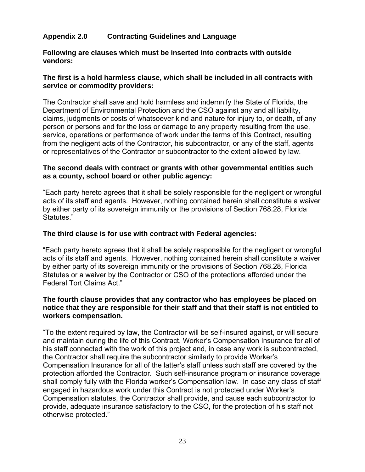#### **Appendix 2.0 Contracting Guidelines and Language**

**Following are clauses which must be inserted into contracts with outside vendors:** 

#### **The first is a hold harmless clause, which shall be included in all contracts with service or commodity providers:**

The Contractor shall save and hold harmless and indemnify the State of Florida, the Department of Environmental Protection and the CSO against any and all liability, claims, judgments or costs of whatsoever kind and nature for injury to, or death, of any person or persons and for the loss or damage to any property resulting from the use, service, operations or performance of work under the terms of this Contract, resulting from the negligent acts of the Contractor, his subcontractor, or any of the staff, agents or representatives of the Contractor or subcontractor to the extent allowed by law.

#### **The second deals with contract or grants with other governmental entities such as a county, school board or other public agency:**

"Each party hereto agrees that it shall be solely responsible for the negligent or wrongful acts of its staff and agents. However, nothing contained herein shall constitute a waiver by either party of its sovereign immunity or the provisions of Section 768.28, Florida Statutes."

#### **The third clause is for use with contract with Federal agencies:**

"Each party hereto agrees that it shall be solely responsible for the negligent or wrongful acts of its staff and agents. However, nothing contained herein shall constitute a waiver by either party of its sovereign immunity or the provisions of Section 768.28, Florida Statutes or a waiver by the Contractor or CSO of the protections afforded under the Federal Tort Claims Act."

#### **The fourth clause provides that any contractor who has employees be placed on notice that they are responsible for their staff and that their staff is not entitled to workers compensation.**

"To the extent required by law, the Contractor will be self-insured against, or will secure and maintain during the life of this Contract, Worker's Compensation Insurance for all of his staff connected with the work of this project and, in case any work is subcontracted, the Contractor shall require the subcontractor similarly to provide Worker's Compensation Insurance for all of the latter's staff unless such staff are covered by the protection afforded the Contractor. Such self-insurance program or insurance coverage shall comply fully with the Florida worker's Compensation law. In case any class of staff engaged in hazardous work under this Contract is not protected under Worker's Compensation statutes, the Contractor shall provide, and cause each subcontractor to provide, adequate insurance satisfactory to the CSO, for the protection of his staff not otherwise protected."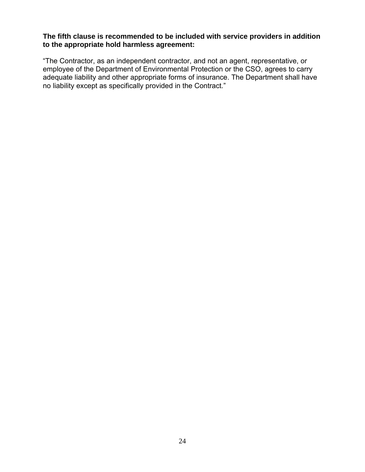#### **The fifth clause is recommended to be included with service providers in addition to the appropriate hold harmless agreement:**

"The Contractor, as an independent contractor, and not an agent, representative, or employee of the Department of Environmental Protection or the CSO, agrees to carry adequate liability and other appropriate forms of insurance. The Department shall have no liability except as specifically provided in the Contract."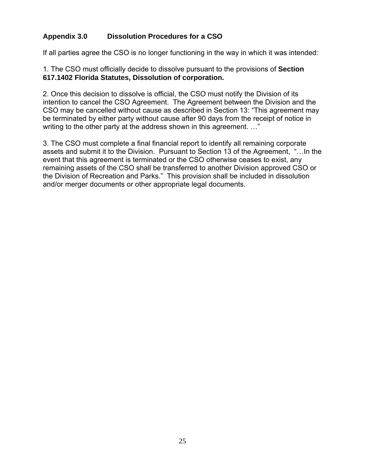#### **Appendix 3.0 Dissolution Procedures for a CSO**

If all parties agree the CSO is no longer functioning in the way in which it was intended:

1. The CSO must officially decide to dissolve pursuant to the provisions of **Section 617.1402 Florida Statutes, Dissolution of corporation.**

2. Once this decision to dissolve is official, the CSO must notify the Division of its intention to cancel the CSO Agreement. The Agreement between the Division and the CSO may be cancelled without cause as described in Section 13: "This agreement may be terminated by either party without cause after 90 days from the receipt of notice in writing to the other party at the address shown in this agreement. ..."

3. The CSO must complete a final financial report to identify all remaining corporate assets and submit it to the Division. Pursuant to Section 13 of the Agreement, "…In the event that this agreement is terminated or the CSO otherwise ceases to exist, any remaining assets of the CSO shall be transferred to another Division approved CSO or the Division of Recreation and Parks." This provision shall be included in dissolution and/or merger documents or other appropriate legal documents.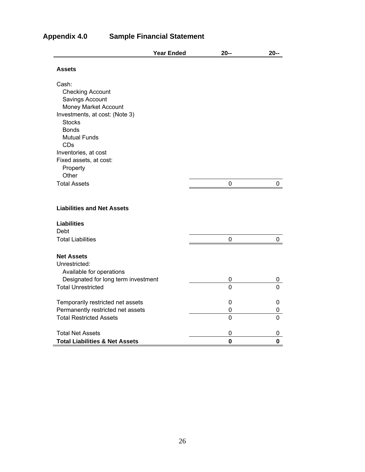|                                           | <b>Year Ended</b> | $20 -$         | $20 -$      |
|-------------------------------------------|-------------------|----------------|-------------|
| <b>Assets</b>                             |                   |                |             |
| Cash:                                     |                   |                |             |
| <b>Checking Account</b>                   |                   |                |             |
| Savings Account                           |                   |                |             |
| Money Market Account                      |                   |                |             |
| Investments, at cost: (Note 3)            |                   |                |             |
| <b>Stocks</b>                             |                   |                |             |
| <b>Bonds</b>                              |                   |                |             |
| <b>Mutual Funds</b>                       |                   |                |             |
| CDs                                       |                   |                |             |
| Inventories, at cost                      |                   |                |             |
| Fixed assets, at cost:                    |                   |                |             |
| Property<br>Other                         |                   |                |             |
| <b>Total Assets</b>                       |                   | 0              | 0           |
|                                           |                   |                |             |
| <b>Liabilities and Net Assets</b>         |                   |                |             |
| <b>Liabilities</b>                        |                   |                |             |
| Debt                                      |                   |                |             |
| <b>Total Liabilities</b>                  |                   | 0              | 0           |
| <b>Net Assets</b>                         |                   |                |             |
| Unrestricted:                             |                   |                |             |
| Available for operations                  |                   |                |             |
| Designated for long term investment       |                   | 0              | 0           |
| <b>Total Unrestricted</b>                 |                   | $\overline{0}$ | 0           |
| Temporarily restricted net assets         |                   | 0              | 0           |
| Permanently restricted net assets         |                   | 0              | 0           |
| <b>Total Restricted Assets</b>            |                   | 0              | 0           |
| <b>Total Net Assets</b>                   |                   | 0              | 0           |
| <b>Total Liabilities &amp; Net Assets</b> |                   | $\mathbf 0$    | $\mathbf 0$ |

#### **Appendix 4.0 Sample Financial Statement**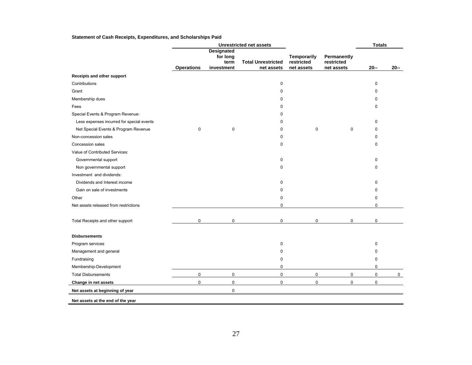#### **Statement of Cash Receipts, Expenditures, and Scholarships Paid**

|                                           | <b>Unrestricted net assets</b> |                                                     |                                         |                                         | <b>Totals</b>                           |             |             |
|-------------------------------------------|--------------------------------|-----------------------------------------------------|-----------------------------------------|-----------------------------------------|-----------------------------------------|-------------|-------------|
|                                           | <b>Operations</b>              | <b>Designated</b><br>for long<br>term<br>investment | <b>Total Unrestricted</b><br>net assets | Temporarily<br>restricted<br>net assets | Permanently<br>restricted<br>net assets | $20 -$      | $20 -$      |
|                                           |                                |                                                     |                                         |                                         |                                         |             |             |
| Receipts and other support                |                                |                                                     |                                         |                                         |                                         |             |             |
| Contributions                             |                                |                                                     | 0                                       |                                         |                                         | 0           |             |
| Grant                                     |                                |                                                     | $\mathbf 0$                             |                                         |                                         | 0           |             |
| Membership dues                           |                                |                                                     | 0                                       |                                         |                                         | $\mathbf 0$ |             |
| Fees                                      |                                |                                                     | 0                                       |                                         |                                         | 0           |             |
| Special Events & Program Revenue:         |                                |                                                     | $\Omega$                                |                                         |                                         |             |             |
| Less expenses incurred for special events |                                |                                                     | 0                                       |                                         |                                         | $\Omega$    |             |
| Net Special Events & Program Revenue      | $\pmb{0}$                      | $\pmb{0}$                                           | 0                                       | $\mathbf 0$                             | $\mathbf 0$                             | 0           |             |
| Non-concession sales                      |                                |                                                     | $\mathbf 0$                             |                                         |                                         | $\mathbf 0$ |             |
| Concession sales                          |                                |                                                     | $\mathbf 0$                             |                                         |                                         | $\Omega$    |             |
| Value of Contributed Services:            |                                |                                                     |                                         |                                         |                                         |             |             |
| Governmental support                      |                                |                                                     | 0                                       |                                         |                                         | 0           |             |
| Non governmental support                  |                                |                                                     | $\pmb{0}$                               |                                         |                                         | $\mathbf 0$ |             |
| Investment and dividends:                 |                                |                                                     |                                         |                                         |                                         |             |             |
| Dividends and Interest income             |                                |                                                     | $\mathbf 0$                             |                                         |                                         | $\Omega$    |             |
| Gain on sale of investments               |                                |                                                     | 0                                       |                                         |                                         | 0           |             |
| Other                                     |                                |                                                     | $\mathbf 0$                             |                                         |                                         | 0           |             |
| Net assets released from restrictions     |                                |                                                     | $\mathbf 0$                             |                                         |                                         | $\mathbf 0$ |             |
| Total Receipts and other support          | 0                              | $\mathbf 0$                                         | 0                                       | $\pmb{0}$                               | 0                                       | 0           |             |
| <b>Disbursements</b>                      |                                |                                                     |                                         |                                         |                                         |             |             |
| Program services                          |                                |                                                     | 0                                       |                                         |                                         | 0           |             |
| Management and general                    |                                |                                                     | 0                                       |                                         |                                         | $\mathbf 0$ |             |
| Fundraising                               |                                |                                                     | $\mathbf 0$                             |                                         |                                         | $\pmb{0}$   |             |
| Membership-Development                    |                                |                                                     | $\Omega$                                |                                         |                                         | $\Omega$    |             |
| <b>Total Disbursements</b>                | 0                              | $\mathbf 0$                                         | $\mathbf 0$                             | $\mathbf 0$                             | $\mathbf 0$                             | $\mathbf 0$ | $\mathbf 0$ |
| Change in net assets                      | 0                              | $\pmb{0}$                                           | $\mathbf 0$                             | $\mathbf 0$                             | 0                                       | $\mathbf 0$ |             |
| Net assets at beginning of year           |                                | $\pmb{0}$                                           |                                         |                                         |                                         |             |             |
| Net assets at the end of the year         |                                |                                                     |                                         |                                         |                                         |             |             |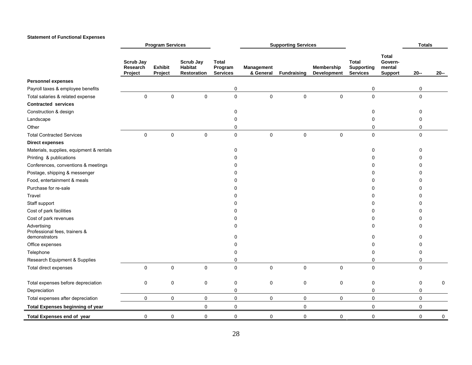#### **Statement of Functional Expenses**

|                                                               |                                         | <b>Program Services</b>   |                                            |                                            | <b>Supporting Services</b> |                    |                           |                                                      | <b>Totals</b>                                |               |        |
|---------------------------------------------------------------|-----------------------------------------|---------------------------|--------------------------------------------|--------------------------------------------|----------------------------|--------------------|---------------------------|------------------------------------------------------|----------------------------------------------|---------------|--------|
|                                                               | <b>Scrub Jay</b><br>Research<br>Project | <b>Exhibit</b><br>Project | Scrub Jay<br>Habitat<br><b>Restoration</b> | <b>Total</b><br>Program<br><b>Services</b> | Management<br>& General    | <b>Fundraising</b> | Membership<br>Development | <b>Total</b><br><b>Supporting</b><br><b>Services</b> | Total<br>Govern-<br>mental<br><b>Support</b> | $20 -$        | $20 -$ |
| <b>Personnel expenses</b>                                     |                                         |                           |                                            |                                            |                            |                    |                           |                                                      |                                              |               |        |
| Payroll taxes & employee benefits                             |                                         |                           |                                            | 0                                          |                            |                    |                           | 0                                                    |                                              | 0             |        |
| Total salaries & related expense                              | $\mathsf 0$                             | 0                         | $\pmb{0}$                                  | $\mathsf{O}\xspace$                        | $\mathbf 0$                | $\mathsf 0$        | 0                         | $\pmb{0}$                                            |                                              | 0             |        |
| <b>Contracted services</b>                                    |                                         |                           |                                            |                                            |                            |                    |                           |                                                      |                                              |               |        |
| Construction & design                                         |                                         |                           |                                            | 0                                          |                            |                    |                           | 0                                                    |                                              | 0             |        |
| Landscape                                                     |                                         |                           |                                            | $\mathbf 0$                                |                            |                    |                           | 0                                                    |                                              | $\mathbf 0$   |        |
| Other                                                         |                                         |                           |                                            | $\mathbf 0$                                |                            |                    |                           | 0                                                    |                                              | $\mathbf 0$   |        |
| <b>Total Contracted Services</b>                              | $\mathbf 0$                             | $\mathbf 0$               | $\mathbf 0$                                | $\mathsf{O}\xspace$                        | $\mathsf{O}\xspace$        | $\mathbf 0$        | $\mathbf 0$               | $\mathbf 0$                                          |                                              | $\mathbf 0$   |        |
| <b>Direct expenses</b>                                        |                                         |                           |                                            |                                            |                            |                    |                           |                                                      |                                              |               |        |
| Materials, supplies, equipment & rentals                      |                                         |                           |                                            | 0                                          |                            |                    |                           | 0                                                    |                                              | $\mathbf 0$   |        |
| Printing & publications                                       |                                         |                           |                                            | 0                                          |                            |                    |                           | 0                                                    |                                              | 0             |        |
| Conferences, conventions & meetings                           |                                         |                           |                                            | <sup>0</sup>                               |                            |                    |                           | O                                                    |                                              | $\Omega$      |        |
| Postage, shipping & messenger                                 |                                         |                           |                                            | $\Omega$                                   |                            |                    |                           | ი                                                    |                                              | 0             |        |
| Food, entertainment & meals                                   |                                         |                           |                                            | 0                                          |                            |                    |                           | ŋ                                                    |                                              | $\Omega$      |        |
| Purchase for re-sale                                          |                                         |                           |                                            | $\Omega$                                   |                            |                    |                           | 0                                                    |                                              | 0             |        |
| Travel                                                        |                                         |                           |                                            | <sup>0</sup>                               |                            |                    |                           | $\Omega$                                             |                                              | 0             |        |
| Staff support                                                 |                                         |                           |                                            | 0                                          |                            |                    |                           | 0                                                    |                                              | 0             |        |
| Cost of park facilities                                       |                                         |                           |                                            | 0                                          |                            |                    |                           | ი                                                    |                                              | O             |        |
| Cost of park revenues                                         |                                         |                           |                                            | 0                                          |                            |                    |                           | 0                                                    |                                              | 0             |        |
| Advertising<br>Professional fees, trainers &<br>demonstrators |                                         |                           |                                            | $\Omega$<br>0                              |                            |                    |                           | 0<br>0                                               |                                              | $\Omega$<br>O |        |
| Office expenses                                               |                                         |                           |                                            | 0                                          |                            |                    |                           | 0                                                    |                                              | 0             |        |
| Telephone                                                     |                                         |                           |                                            | n                                          |                            |                    |                           | 0                                                    |                                              | 0             |        |
| Research Equipment & Supplies                                 |                                         |                           |                                            | 0                                          |                            |                    |                           | $\Omega$                                             |                                              | $\mathbf 0$   |        |
| Total direct expenses                                         | $\mathbf 0$                             | $\mathbf 0$               | $\mathbf 0$                                | $\pmb{0}$                                  | $\mathbf 0$                | $\mathbf 0$        | $\Omega$                  | $\mathbf 0$                                          |                                              | $\mathbf 0$   |        |
| Total expenses before depreciation                            | 0                                       | $\mathbf 0$               | 0                                          | 0                                          | 0                          | 0                  | 0                         | 0                                                    |                                              | 0             | 0      |
| Depreciation                                                  |                                         |                           |                                            | 0                                          |                            |                    |                           | 0                                                    |                                              | 0             |        |
| Total expenses after depreciation                             | 0                                       | 0                         | 0                                          | $\mathsf 0$                                | 0                          | 0                  | $\mathbf 0$               | 0                                                    |                                              | 0             |        |
| Total Expenses beginning of year                              |                                         |                           | $\pmb{0}$                                  | $\pmb{0}$                                  |                            | $\pmb{0}$          |                           | $\pmb{0}$                                            |                                              | $\pmb{0}$     |        |
| Total Expenses end of year                                    | 0                                       | 0                         | 0                                          | 0                                          | 0                          | 0                  | 0                         | 0                                                    |                                              | 0             | 0      |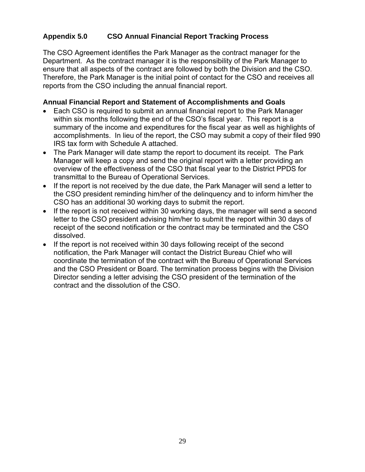#### **Appendix 5.0 CSO Annual Financial Report Tracking Process**

The CSO Agreement identifies the Park Manager as the contract manager for the Department. As the contract manager it is the responsibility of the Park Manager to ensure that all aspects of the contract are followed by both the Division and the CSO. Therefore, the Park Manager is the initial point of contact for the CSO and receives all reports from the CSO including the annual financial report.

#### **Annual Financial Report and Statement of Accomplishments and Goals**

- Each CSO is required to submit an annual financial report to the Park Manager within six months following the end of the CSO's fiscal year. This report is a summary of the income and expenditures for the fiscal year as well as highlights of accomplishments. In lieu of the report, the CSO may submit a copy of their filed 990 IRS tax form with Schedule A attached.
- The Park Manager will date stamp the report to document its receipt. The Park Manager will keep a copy and send the original report with a letter providing an overview of the effectiveness of the CSO that fiscal year to the District PPDS for transmittal to the Bureau of Operational Services.
- If the report is not received by the due date, the Park Manager will send a letter to the CSO president reminding him/her of the delinquency and to inform him/her the CSO has an additional 30 working days to submit the report.
- If the report is not received within 30 working days, the manager will send a second letter to the CSO president advising him/her to submit the report within 30 days of receipt of the second notification or the contract may be terminated and the CSO dissolved.
- If the report is not received within 30 days following receipt of the second notification, the Park Manager will contact the District Bureau Chief who will coordinate the termination of the contract with the Bureau of Operational Services and the CSO President or Board. The termination process begins with the Division Director sending a letter advising the CSO president of the termination of the contract and the dissolution of the CSO.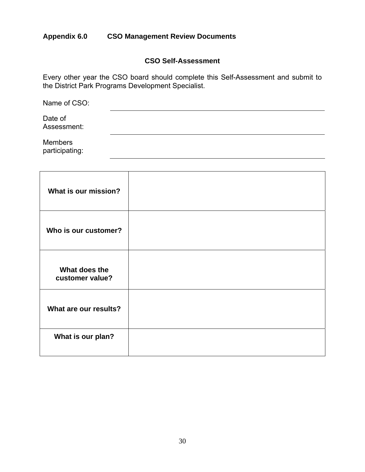#### **Appendix 6.0 CSO Management Review Documents**

#### **CSO Self-Assessment**

Every other year the CSO board should complete this Self-Assessment and submit to the District Park Programs Development Specialist.

| Name of CSO:                     |  |  |  |
|----------------------------------|--|--|--|
| Date of<br>Assessment:           |  |  |  |
| <b>Members</b><br>participating: |  |  |  |

| What is our mission?             |  |
|----------------------------------|--|
| Who is our customer?             |  |
| What does the<br>customer value? |  |
| What are our results?            |  |
| What is our plan?                |  |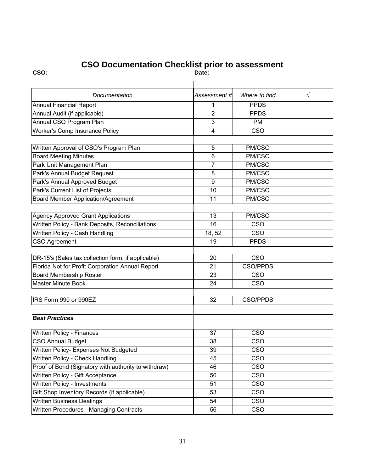#### **CSO Documentation Checklist prior to assessment**

**CSO: Date:** 

| Documentation                                        | Assessment #l    | Where to find           | $\sqrt{}$ |
|------------------------------------------------------|------------------|-------------------------|-----------|
| <b>Annual Financial Report</b>                       | 1                | <b>PPDS</b>             |           |
| Annual Audit (if applicable)                         | $\overline{2}$   | <b>PPDS</b>             |           |
| Annual CSO Program Plan                              | 3                | <b>PM</b>               |           |
| Worker's Comp Insurance Policy                       | $\overline{4}$   | CSO                     |           |
|                                                      |                  |                         |           |
| Written Approval of CSO's Program Plan               | 5                | PM/CSO                  |           |
| <b>Board Meeting Minutes</b>                         | 6                | PM/CSO                  |           |
| Park Unit Management Plan                            | $\overline{7}$   | PM/CSO                  |           |
| Park's Annual Budget Request                         | 8                | PM/CSO                  |           |
| Park's Annual Approved Budget                        | $\boldsymbol{9}$ | PM/CSO                  |           |
| Park's Current List of Projects                      | 10               | PM/CSO                  |           |
| <b>Board Member Application/Agreement</b>            | 11               | PM/CSO                  |           |
|                                                      |                  |                         |           |
| Agency Approved Grant Applications                   | 13               | PM/CSO                  |           |
| Written Policy - Bank Deposits, Reconciliations      | 16               | <b>CSO</b>              |           |
| Written Policy - Cash Handling                       | 18, 52           | CSO                     |           |
| <b>CSO Agreement</b>                                 | 19               | <b>PPDS</b>             |           |
|                                                      |                  |                         |           |
| DR-15's (Sales tax collection form, if applicable)   | 20               | CSO                     |           |
| Florida Not for Profit Corporation Annual Report     | 21               | <b>CSO/PPDS</b>         |           |
| <b>Board Membership Roster</b>                       | 23               | CSO                     |           |
| <b>Master Minute Book</b>                            | 24               | $\overline{\text{CSO}}$ |           |
|                                                      |                  |                         |           |
| IRS Form 990 or 990EZ                                | 32               | <b>CSO/PPDS</b>         |           |
|                                                      |                  |                         |           |
| <b>Best Practices</b>                                |                  |                         |           |
|                                                      |                  |                         |           |
| Written Policy - Finances                            | 37               | CSO                     |           |
| <b>CSO Annual Budget</b>                             | 38               | CSO                     |           |
| Written Policy- Expenses Not Budgeted                | 39               | CSO                     |           |
| Written Policy - Check Handling                      | 45               | CSO                     |           |
| Proof of Bond (Signatory with authority to withdraw) | 46               | <b>CSO</b>              |           |
| Written Policy - Gift Acceptance                     | 50               | $\overline{\text{CSO}}$ |           |
| Written Policy - Investments                         | 51               | <b>CSO</b>              |           |
| Gift Shop Inventory Records (if applicable)          | 53               | <b>CSO</b>              |           |
| <b>Written Business Dealings</b>                     | 54               | <b>CSO</b>              |           |
| Written Procedures - Managing Contracts              | 56               | <b>CSO</b>              |           |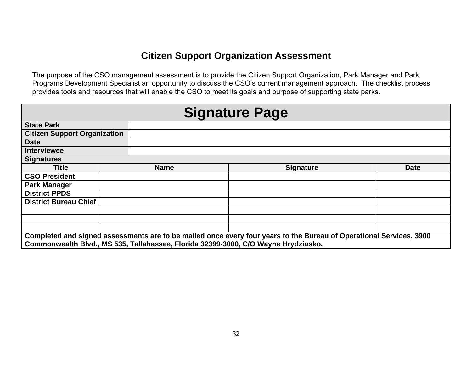#### **Citizen Support Organization Assessment**

The purpose of the CSO management assessment is to provide the Citizen Support Organization, Park Manager and Park Programs Development Specialist an opportunity to discuss the CSO's current management approach. The checklist process provides tools and resources that will enable the CSO to meet its goals and purpose of supporting state parks.

| <b>Signature Page</b>                                                                                                                                                                                     |  |             |                  |             |  |  |  |  |
|-----------------------------------------------------------------------------------------------------------------------------------------------------------------------------------------------------------|--|-------------|------------------|-------------|--|--|--|--|
| <b>State Park</b>                                                                                                                                                                                         |  |             |                  |             |  |  |  |  |
| <b>Citizen Support Organization</b>                                                                                                                                                                       |  |             |                  |             |  |  |  |  |
| <b>Date</b>                                                                                                                                                                                               |  |             |                  |             |  |  |  |  |
| <b>Interviewee</b>                                                                                                                                                                                        |  |             |                  |             |  |  |  |  |
| <b>Signatures</b>                                                                                                                                                                                         |  |             |                  |             |  |  |  |  |
| <b>Title</b>                                                                                                                                                                                              |  | <b>Name</b> | <b>Signature</b> | <b>Date</b> |  |  |  |  |
| <b>CSO President</b>                                                                                                                                                                                      |  |             |                  |             |  |  |  |  |
| <b>Park Manager</b>                                                                                                                                                                                       |  |             |                  |             |  |  |  |  |
| <b>District PPDS</b>                                                                                                                                                                                      |  |             |                  |             |  |  |  |  |
| <b>District Bureau Chief</b>                                                                                                                                                                              |  |             |                  |             |  |  |  |  |
|                                                                                                                                                                                                           |  |             |                  |             |  |  |  |  |
|                                                                                                                                                                                                           |  |             |                  |             |  |  |  |  |
|                                                                                                                                                                                                           |  |             |                  |             |  |  |  |  |
| Completed and signed assessments are to be mailed once every four years to the Bureau of Operational Services, 3900<br>Commonwealth Blvd., MS 535, Tallahassee, Florida 32399-3000, C/O Wayne Hrydziusko. |  |             |                  |             |  |  |  |  |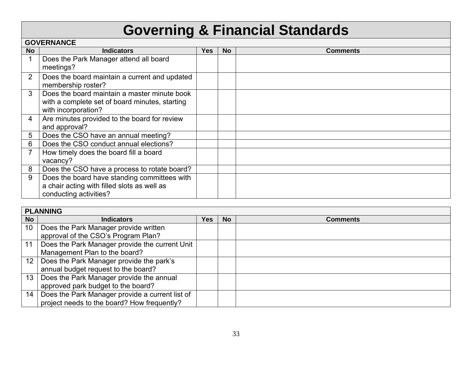# **Governing & Financial Standards**

|                | <b>GOVERNANCE</b>                                                   |     |           |                 |  |  |  |
|----------------|---------------------------------------------------------------------|-----|-----------|-----------------|--|--|--|
| <b>No</b>      | <b>Indicators</b>                                                   | Yes | <b>No</b> | <b>Comments</b> |  |  |  |
| 1              | Does the Park Manager attend all board                              |     |           |                 |  |  |  |
|                | meetings?                                                           |     |           |                 |  |  |  |
| 2              | Does the board maintain a current and updated<br>membership roster? |     |           |                 |  |  |  |
| 3              | Does the board maintain a master minute book                        |     |           |                 |  |  |  |
|                | with a complete set of board minutes, starting                      |     |           |                 |  |  |  |
|                | with incorporation?                                                 |     |           |                 |  |  |  |
| 4              | Are minutes provided to the board for review                        |     |           |                 |  |  |  |
|                | and approval?                                                       |     |           |                 |  |  |  |
| 5              | Does the CSO have an annual meeting?                                |     |           |                 |  |  |  |
| 6              | Does the CSO conduct annual elections?                              |     |           |                 |  |  |  |
| $\overline{7}$ | How timely does the board fill a board                              |     |           |                 |  |  |  |
|                | vacancy?                                                            |     |           |                 |  |  |  |
| 8              | Does the CSO have a process to rotate board?                        |     |           |                 |  |  |  |
| 9              | Does the board have standing committees with                        |     |           |                 |  |  |  |
|                | a chair acting with filled slots as well as                         |     |           |                 |  |  |  |
|                | conducting activities?                                              |     |           |                 |  |  |  |

|                 | <b>PLANNING</b>                                 |     |           |                 |  |  |
|-----------------|-------------------------------------------------|-----|-----------|-----------------|--|--|
| <b>No</b>       | <b>Indicators</b>                               | Yes | <b>No</b> | <b>Comments</b> |  |  |
| 10              | Does the Park Manager provide written           |     |           |                 |  |  |
|                 | approval of the CSO's Program Plan?             |     |           |                 |  |  |
| 11              | Does the Park Manager provide the current Unit  |     |           |                 |  |  |
|                 | Management Plan to the board?                   |     |           |                 |  |  |
| 12 <sup>2</sup> | Does the Park Manager provide the park's        |     |           |                 |  |  |
|                 | annual budget request to the board?             |     |           |                 |  |  |
| 13 <sup>1</sup> | Does the Park Manager provide the annual        |     |           |                 |  |  |
|                 | approved park budget to the board?              |     |           |                 |  |  |
| 14              | Does the Park Manager provide a current list of |     |           |                 |  |  |
|                 | project needs to the board? How frequently?     |     |           |                 |  |  |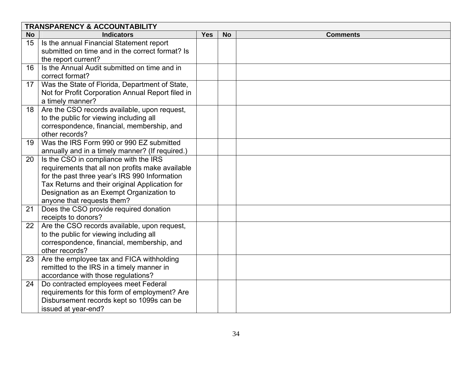|           | <b>TRANSPARENCY &amp; ACCOUNTABILITY</b>                                        |            |           |                 |  |  |
|-----------|---------------------------------------------------------------------------------|------------|-----------|-----------------|--|--|
| <b>No</b> | <b>Indicators</b>                                                               | <b>Yes</b> | <b>No</b> | <b>Comments</b> |  |  |
| 15        | Is the annual Financial Statement report                                        |            |           |                 |  |  |
|           | submitted on time and in the correct format? Is                                 |            |           |                 |  |  |
|           | the report current?                                                             |            |           |                 |  |  |
| 16        | Is the Annual Audit submitted on time and in                                    |            |           |                 |  |  |
|           | correct format?                                                                 |            |           |                 |  |  |
| 17        | Was the State of Florida, Department of State,                                  |            |           |                 |  |  |
|           | Not for Profit Corporation Annual Report filed in                               |            |           |                 |  |  |
|           | a timely manner?                                                                |            |           |                 |  |  |
| 18        | Are the CSO records available, upon request,                                    |            |           |                 |  |  |
|           | to the public for viewing including all                                         |            |           |                 |  |  |
|           | correspondence, financial, membership, and                                      |            |           |                 |  |  |
|           | other records?                                                                  |            |           |                 |  |  |
| 19        | Was the IRS Form 990 or 990 EZ submitted                                        |            |           |                 |  |  |
|           | annually and in a timely manner? (If required.)                                 |            |           |                 |  |  |
| 20        | Is the CSO in compliance with the IRS                                           |            |           |                 |  |  |
|           | requirements that all non profits make available                                |            |           |                 |  |  |
|           | for the past three year's IRS 990 Information                                   |            |           |                 |  |  |
|           | Tax Returns and their original Application for                                  |            |           |                 |  |  |
|           | Designation as an Exempt Organization to                                        |            |           |                 |  |  |
|           | anyone that requests them?                                                      |            |           |                 |  |  |
| 21        | Does the CSO provide required donation                                          |            |           |                 |  |  |
|           | receipts to donors?                                                             |            |           |                 |  |  |
| 22        | Are the CSO records available, upon request,                                    |            |           |                 |  |  |
|           | to the public for viewing including all                                         |            |           |                 |  |  |
|           | correspondence, financial, membership, and<br>other records?                    |            |           |                 |  |  |
|           |                                                                                 |            |           |                 |  |  |
| 23        | Are the employee tax and FICA withholding                                       |            |           |                 |  |  |
|           | remitted to the IRS in a timely manner in<br>accordance with those regulations? |            |           |                 |  |  |
| 24        | Do contracted employees meet Federal                                            |            |           |                 |  |  |
|           | requirements for this form of employment? Are                                   |            |           |                 |  |  |
|           |                                                                                 |            |           |                 |  |  |
|           |                                                                                 |            |           |                 |  |  |
|           | Disbursement records kept so 1099s can be<br>issued at year-end?                |            |           |                 |  |  |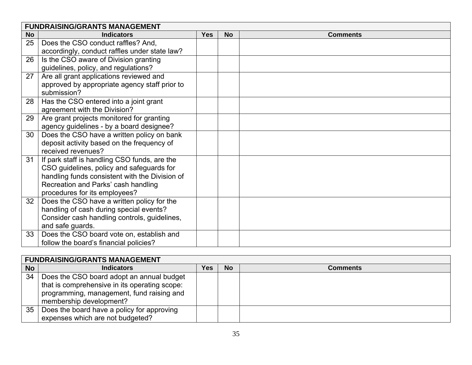|           | <b>FUNDRAISING/GRANTS MANAGEMENT</b>           |            |           |                 |  |  |
|-----------|------------------------------------------------|------------|-----------|-----------------|--|--|
| <b>No</b> | <b>Indicators</b>                              | <b>Yes</b> | <b>No</b> | <b>Comments</b> |  |  |
| 25        | Does the CSO conduct raffles? And,             |            |           |                 |  |  |
|           | accordingly, conduct raffles under state law?  |            |           |                 |  |  |
| 26        | Is the CSO aware of Division granting          |            |           |                 |  |  |
|           | guidelines, policy, and regulations?           |            |           |                 |  |  |
| 27        | Are all grant applications reviewed and        |            |           |                 |  |  |
|           | approved by appropriate agency staff prior to  |            |           |                 |  |  |
|           | submission?                                    |            |           |                 |  |  |
| 28        | Has the CSO entered into a joint grant         |            |           |                 |  |  |
|           | agreement with the Division?                   |            |           |                 |  |  |
| 29        | Are grant projects monitored for granting      |            |           |                 |  |  |
|           | agency guidelines - by a board designee?       |            |           |                 |  |  |
| 30        | Does the CSO have a written policy on bank     |            |           |                 |  |  |
|           | deposit activity based on the frequency of     |            |           |                 |  |  |
|           | received revenues?                             |            |           |                 |  |  |
| 31        | If park staff is handling CSO funds, are the   |            |           |                 |  |  |
|           | CSO guidelines, policy and safeguards for      |            |           |                 |  |  |
|           | handling funds consistent with the Division of |            |           |                 |  |  |
|           | Recreation and Parks' cash handling            |            |           |                 |  |  |
|           | procedures for its employees?                  |            |           |                 |  |  |
| 32        | Does the CSO have a written policy for the     |            |           |                 |  |  |
|           | handling of cash during special events?        |            |           |                 |  |  |
|           | Consider cash handling controls, guidelines,   |            |           |                 |  |  |
|           | and safe guards.                               |            |           |                 |  |  |
| 33        | Does the CSO board vote on, establish and      |            |           |                 |  |  |
|           | follow the board's financial policies?         |            |           |                 |  |  |

|           | <b>FUNDRAISING/GRANTS MANAGEMENT</b>          |     |           |                 |  |  |  |
|-----------|-----------------------------------------------|-----|-----------|-----------------|--|--|--|
| <b>No</b> | <b>Indicators</b>                             | Yes | <b>No</b> | <b>Comments</b> |  |  |  |
| 34        | Does the CSO board adopt an annual budget     |     |           |                 |  |  |  |
|           | that is comprehensive in its operating scope: |     |           |                 |  |  |  |
|           | programming, management, fund raising and     |     |           |                 |  |  |  |
|           | membership development?                       |     |           |                 |  |  |  |
| 35        | Does the board have a policy for approving    |     |           |                 |  |  |  |
|           | expenses which are not budgeted?              |     |           |                 |  |  |  |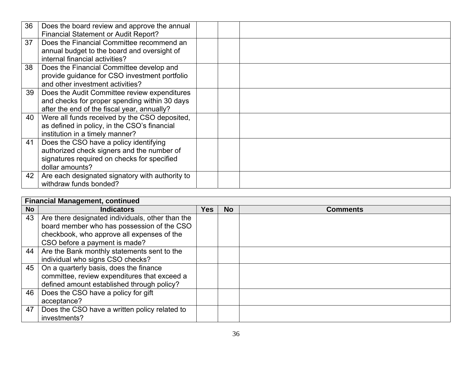| Does the board review and approve the annual    |                                                                                                                                                                                                                                 |  |
|-------------------------------------------------|---------------------------------------------------------------------------------------------------------------------------------------------------------------------------------------------------------------------------------|--|
|                                                 |                                                                                                                                                                                                                                 |  |
| Does the Financial Committee recommend an       |                                                                                                                                                                                                                                 |  |
| annual budget to the board and oversight of     |                                                                                                                                                                                                                                 |  |
|                                                 |                                                                                                                                                                                                                                 |  |
| Does the Financial Committee develop and        |                                                                                                                                                                                                                                 |  |
|                                                 |                                                                                                                                                                                                                                 |  |
| and other investment activities?                |                                                                                                                                                                                                                                 |  |
| Does the Audit Committee review expenditures    |                                                                                                                                                                                                                                 |  |
|                                                 |                                                                                                                                                                                                                                 |  |
| after the end of the fiscal year, annually?     |                                                                                                                                                                                                                                 |  |
| Were all funds received by the CSO deposited,   |                                                                                                                                                                                                                                 |  |
|                                                 |                                                                                                                                                                                                                                 |  |
| institution in a timely manner?                 |                                                                                                                                                                                                                                 |  |
| Does the CSO have a policy identifying          |                                                                                                                                                                                                                                 |  |
| authorized check signers and the number of      |                                                                                                                                                                                                                                 |  |
| signatures required on checks for specified     |                                                                                                                                                                                                                                 |  |
| dollar amounts?                                 |                                                                                                                                                                                                                                 |  |
| Are each designated signatory with authority to |                                                                                                                                                                                                                                 |  |
| withdraw funds bonded?                          |                                                                                                                                                                                                                                 |  |
|                                                 | <b>Financial Statement or Audit Report?</b><br>internal financial activities?<br>provide guidance for CSO investment portfolio<br>and checks for proper spending within 30 days<br>as defined in policy, in the CSO's financial |  |

|           | <b>Financial Management, continued</b>           |      |           |                 |  |  |  |
|-----------|--------------------------------------------------|------|-----------|-----------------|--|--|--|
| <b>No</b> | <b>Indicators</b>                                | Yes. | <b>No</b> | <b>Comments</b> |  |  |  |
| 43        | Are there designated individuals, other than the |      |           |                 |  |  |  |
|           | board member who has possession of the CSO       |      |           |                 |  |  |  |
|           | checkbook, who approve all expenses of the       |      |           |                 |  |  |  |
|           | CSO before a payment is made?                    |      |           |                 |  |  |  |
| 44        | Are the Bank monthly statements sent to the      |      |           |                 |  |  |  |
|           | individual who signs CSO checks?                 |      |           |                 |  |  |  |
| 45        | On a quarterly basis, does the finance           |      |           |                 |  |  |  |
|           | committee, review expenditures that exceed a     |      |           |                 |  |  |  |
|           | defined amount established through policy?       |      |           |                 |  |  |  |
| 46        | Does the CSO have a policy for gift              |      |           |                 |  |  |  |
|           | acceptance?                                      |      |           |                 |  |  |  |
| 47        | Does the CSO have a written policy related to    |      |           |                 |  |  |  |
|           | investments?                                     |      |           |                 |  |  |  |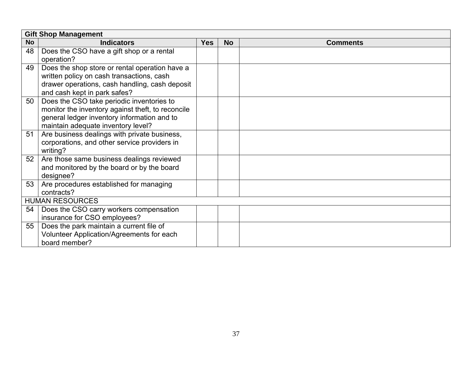|           | <b>Gift Shop Management</b>                       |            |           |                 |  |
|-----------|---------------------------------------------------|------------|-----------|-----------------|--|
| <b>No</b> | <b>Indicators</b>                                 | <b>Yes</b> | <b>No</b> | <b>Comments</b> |  |
| 48        | Does the CSO have a gift shop or a rental         |            |           |                 |  |
|           | operation?                                        |            |           |                 |  |
| 49        | Does the shop store or rental operation have a    |            |           |                 |  |
|           | written policy on cash transactions, cash         |            |           |                 |  |
|           | drawer operations, cash handling, cash deposit    |            |           |                 |  |
|           | and cash kept in park safes?                      |            |           |                 |  |
| 50        | Does the CSO take periodic inventories to         |            |           |                 |  |
|           | monitor the inventory against theft, to reconcile |            |           |                 |  |
|           | general ledger inventory information and to       |            |           |                 |  |
|           | maintain adequate inventory level?                |            |           |                 |  |
| 51        | Are business dealings with private business,      |            |           |                 |  |
|           | corporations, and other service providers in      |            |           |                 |  |
|           | writing?                                          |            |           |                 |  |
| 52        | Are those same business dealings reviewed         |            |           |                 |  |
|           | and monitored by the board or by the board        |            |           |                 |  |
|           | designee?                                         |            |           |                 |  |
| 53        | Are procedures established for managing           |            |           |                 |  |
|           | contracts?                                        |            |           |                 |  |
|           | <b>HUMAN RESOURCES</b>                            |            |           |                 |  |
| 54        | Does the CSO carry workers compensation           |            |           |                 |  |
|           | insurance for CSO employees?                      |            |           |                 |  |
| 55        | Does the park maintain a current file of          |            |           |                 |  |
|           | Volunteer Application/Agreements for each         |            |           |                 |  |
|           | board member?                                     |            |           |                 |  |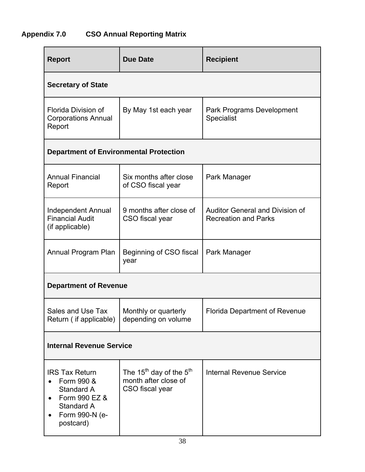#### **Appendix 7.0 CSO Annual Reporting Matrix**

| <b>Report</b>                                                                                                   | <b>Due Date</b>                                                              | <b>Recipient</b>                                                      |  |  |  |  |  |  |
|-----------------------------------------------------------------------------------------------------------------|------------------------------------------------------------------------------|-----------------------------------------------------------------------|--|--|--|--|--|--|
| <b>Secretary of State</b>                                                                                       |                                                                              |                                                                       |  |  |  |  |  |  |
| Florida Division of<br><b>Corporations Annual</b><br>Report                                                     | By May 1st each year                                                         | Park Programs Development<br>Specialist                               |  |  |  |  |  |  |
| <b>Department of Environmental Protection</b>                                                                   |                                                                              |                                                                       |  |  |  |  |  |  |
| <b>Annual Financial</b><br>Report                                                                               | Six months after close<br>of CSO fiscal year                                 | Park Manager                                                          |  |  |  |  |  |  |
| <b>Independent Annual</b><br><b>Financial Audit</b><br>(if applicable)                                          | 9 months after close of<br>CSO fiscal year                                   | <b>Auditor General and Division of</b><br><b>Recreation and Parks</b> |  |  |  |  |  |  |
| Annual Program Plan<br>Beginning of CSO fiscal<br>year                                                          |                                                                              | Park Manager                                                          |  |  |  |  |  |  |
| <b>Department of Revenue</b>                                                                                    |                                                                              |                                                                       |  |  |  |  |  |  |
| Sales and Use Tax<br>Return (if applicable)                                                                     | Monthly or quarterly<br>depending on volume                                  | <b>Florida Department of Revenue</b>                                  |  |  |  |  |  |  |
| <b>Internal Revenue Service</b>                                                                                 |                                                                              |                                                                       |  |  |  |  |  |  |
| <b>IRS Tax Return</b><br>Form 990 &<br>Standard A<br>Form 990 EZ &<br>Standard A<br>Form 990-N (e-<br>postcard) | The $15^{th}$ day of the $5^{th}$<br>month after close of<br>CSO fiscal year | <b>Internal Revenue Service</b>                                       |  |  |  |  |  |  |